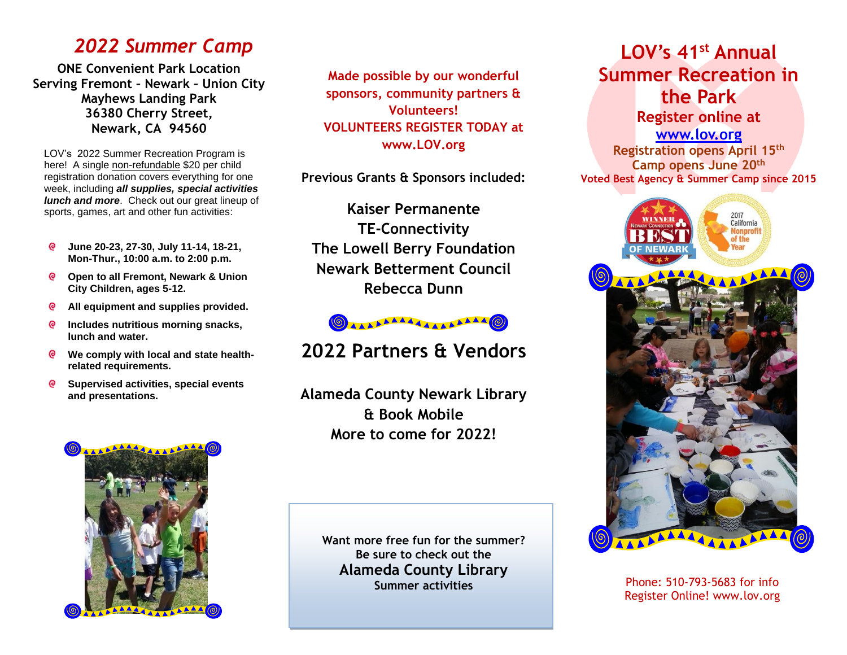### *2022 Summer Camp*

**ONE Convenient Park Location Serving Fremont – Newark – Union City Mayhews Landing Park [36380 Cherry Street,](http://maps.google.com/maps?f=q&source=s_q&hl=en&geocode=&q=Musick+Park+newark+ca&sll=37.541719,-122.050295&sspn=0.036274,0.064459&ie=UTF8&ll=37.54747,-122.029438&spn=0.018136,0.032229&t=p&z=15&iwloc=A) Newark, CA 94560**

LOV's 2022 Summer Recreation Program is here! A single non-refundable \$20 per child registration donation covers everything for one week, including *all supplies, special activities lunch and more*. Check out our great lineup of sports, games, art and other fun activities:

- <u>ල</u> **June 20-23, 27-30, July 11-14, 18-21, Mon-Thur., 10:00 a.m. to 2:00 p.m.**
- **Open to all Fremont, Newark & Union City Children, ages 5-12.**
- **All equipment and supplies provided. @**
- **Includes nutritious morning snacks,**  $\bullet$ **lunch and water.**
- **We comply with local and state healthrelated requirements.**
- $\bullet$ **Supervised activities, special events and presentations.**



**Made possible by our wonderful sponsors, community partners & Volunteers! VOLUNTEERS REGISTER TODAY at www.LOV.org**

**Previous Grants & Sponsors included:**

**Kaiser Permanente TE-Connectivity The Lowell Berry Foundation Newark Betterment Council Rebecca Dunn**



## **2022 Partners & Vendors**

**Alameda County Newark Library & Book Mobile More to come for 2022!**

> **Want more free fun for the summer? Be sure to check out the Alameda County Library Summer activities**

## **LOV's 41st Annual Summer Recreation in the Park Register online at**

**[www.lov.org](http://www.lov.org/) Registration opens April 15th Camp opens June 20 th Voted Best Agency & Summer Camp since 2015**



Phone: 510-793-5683 for info Register Online! www.lov.org